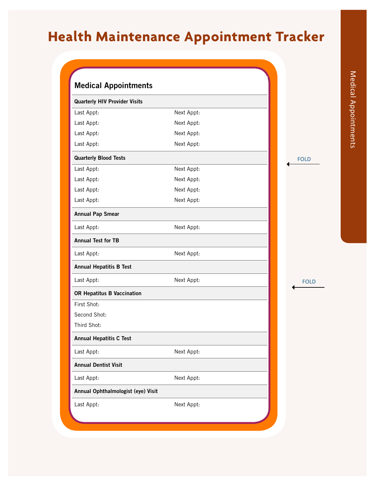## **Health Maintenance Appointment Tracker**

| <b>Medical Appointments</b>          |            |             |
|--------------------------------------|------------|-------------|
| <b>Quarterly HIV Provider Visits</b> |            |             |
| Last Appt:                           | Next Appt: |             |
| Last Appt:                           | Next Appt: |             |
| Last Appt:                           | Next Appt: |             |
| Last Appt:                           | Next Appt: |             |
| <b>Quarterly Blood Tests</b>         |            | <b>FOLD</b> |
| Last Appt:                           | Next Appt: |             |
| Last Appt:                           | Next Appt: |             |
| Last Appt:                           | Next Appt: |             |
| Last Appt:                           | Next Appt: |             |
| <b>Annual Pap Smear</b>              |            |             |
| Last Appt:                           | Next Appt: |             |
| <b>Annual Test for TB</b>            |            |             |
| Last Appt:                           | Next Appt: |             |
| <b>Annual Hepatitis B Test</b>       |            |             |
| Last Appt:                           | Next Appt: | <b>FOLD</b> |
| OR Hepatitus B Vaccination           |            |             |
| First Shot:                          |            |             |
| Second Shot:                         |            |             |
| Third Shot:                          |            |             |
| <b>Annual Hepatitis C Test</b>       |            |             |
| Last Appt:                           | Next Appt: |             |
| <b>Annual Dentist Visit</b>          |            |             |
| Last Appt:                           | Next Appt: |             |
| Annual Ophthalmologist (eye) Visit   |            |             |
| Last Appt:                           | Next Appt: |             |
|                                      |            |             |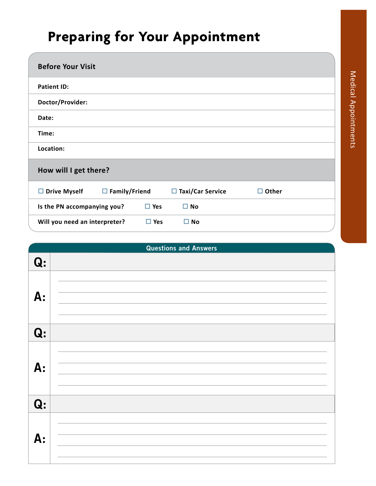## **Preparing for Your Appointment**

| <b>Before Your Visit</b>                    |                               |              |  |  |
|---------------------------------------------|-------------------------------|--------------|--|--|
| <b>Patient ID:</b>                          |                               |              |  |  |
| Doctor/Provider:                            |                               |              |  |  |
| Date:                                       |                               |              |  |  |
| Time:                                       |                               |              |  |  |
| Location:                                   |                               |              |  |  |
| How will I get there?                       |                               |              |  |  |
| $\Box$ Family/Friend<br>$\Box$ Drive Myself | $\Box$ Taxi/Car Service       | $\Box$ Other |  |  |
| Is the PN accompanying you?                 | $\square$ Yes<br>$\square$ No |              |  |  |
| Will you need an interpreter?               | $\Box$ Yes<br>$\square$ No    |              |  |  |

|                | <b>Questions and Answers</b> |
|----------------|------------------------------|
| Q <sub>i</sub> |                              |
| A:             |                              |
| Q <sub>i</sub> |                              |
| A:             |                              |
| Q <sub>i</sub> |                              |
| A:             |                              |